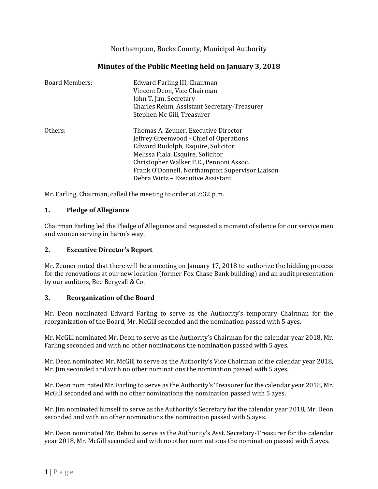Northampton, Bucks County, Municipal Authority

| <b>Board Members:</b> | Edward Farling III, Chairman<br>Vincent Deon, Vice Chairman<br>John T. Jim, Secretary<br>Charles Rehm, Assistant Secretary-Treasurer<br>Stephen Mc Gill, Treasurer                                                                                       |
|-----------------------|----------------------------------------------------------------------------------------------------------------------------------------------------------------------------------------------------------------------------------------------------------|
| Others:               | Thomas A. Zeuner, Executive Director<br>Jeffrey Greenwood - Chief of Operations<br>Edward Rudolph, Esquire, Solicitor<br>Melissa Fiala, Esquire, Solicitor<br>Christopher Walker P.E., Pennoni Assoc.<br>Frank O'Donnell, Northampton Supervisor Liaison |
|                       | Debra Wirtz – Executive Assistant                                                                                                                                                                                                                        |

# **Minutes of the Public Meeting held on January 3, 2018**

Mr. Farling, Chairman, called the meeting to order at 7:32 p.m.

### **1. Pledge of Allegiance**

Chairman Farling led the Pledge of Allegiance and requested a moment of silence for our service men and women serving in harm's way.

## **2. Executive Director's Report**

Mr. Zeuner noted that there will be a meeting on January 17, 2018 to authorize the bidding process for the renovations at our new location (former Fox Chase Bank building) and an audit presentation by our auditors, Bee Bergvall & Co.

#### **3. Reorganization of the Board**

Mr. Deon nominated Edward Farling to serve as the Authority's temporary Chairman for the reorganization of the Board, Mr. McGill seconded and the nomination passed with 5 ayes.

Mr. McGill nominated Mr. Deon to serve as the Authority's Chairman for the calendar year 2018, Mr. Farling seconded and with no other nominations the nomination passed with 5 ayes.

Mr. Deon nominated Mr. McGill to serve as the Authority's Vice Chairman of the calendar year 2018, Mr. Jim seconded and with no other nominations the nomination passed with 5 ayes.

Mr. Deon nominated Mr. Farling to serve as the Authority's Treasurer for the calendar year 2018, Mr. McGill seconded and with no other nominations the nomination passed with 5 ayes.

Mr. Jim nominated himself to serve as the Authority's Secretary for the calendar year 2018, Mr. Deon seconded and with no other nominations the nomination passed with 5 ayes.

Mr. Deon nominated Mr. Rehm to serve as the Authority's Asst. Secretary-Treasurer for the calendar year 2018, Mr. McGill seconded and with no other nominations the nomination passed with 5 ayes.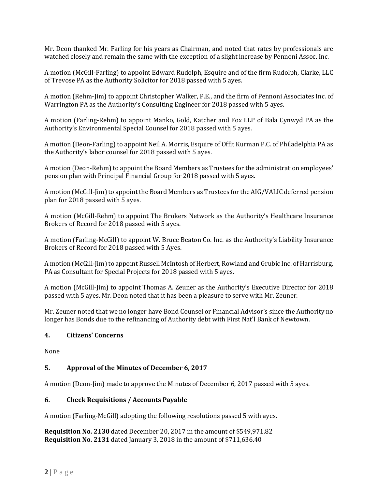Mr. Deon thanked Mr. Farling for his years as Chairman, and noted that rates by professionals are watched closely and remain the same with the exception of a slight increase by Pennoni Assoc. Inc.

A motion (McGill-Farling) to appoint Edward Rudolph, Esquire and of the firm Rudolph, Clarke, LLC of Trevose PA as the Authority Solicitor for 2018 passed with 5 ayes.

A motion (Rehm-Jim) to appoint Christopher Walker, P.E., and the firm of Pennoni Associates Inc. of Warrington PA as the Authority's Consulting Engineer for 2018 passed with 5 ayes.

A motion (Farling-Rehm) to appoint Manko, Gold, Katcher and Fox LLP of Bala Cynwyd PA as the Authority's Environmental Special Counsel for 2018 passed with 5 ayes.

A motion (Deon-Farling) to appoint Neil A. Morris, Esquire of Offit Kurman P.C. of Philadelphia PA as the Authority's labor counsel for 2018 passed with 5 ayes.

A motion (Deon-Rehm) to appoint the Board Members as Trustees for the administration employees' pension plan with Principal Financial Group for 2018 passed with 5 ayes.

A motion (McGill-Jim) to appoint the Board Members as Trustees for the AIG/VALIC deferred pension plan for 2018 passed with 5 ayes.

A motion (McGill-Rehm) to appoint The Brokers Network as the Authority's Healthcare Insurance Brokers of Record for 2018 passed with 5 ayes.

A motion (Farling-McGill) to appoint W. Bruce Beaton Co. Inc. as the Authority's Liability Insurance Brokers of Record for 2018 passed with 5 Ayes.

A motion (McGill-Jim) to appoint Russell McIntosh of Herbert, Rowland and Grubic Inc. of Harrisburg, PA as Consultant for Special Projects for 2018 passed with 5 ayes.

A motion (McGill-Jim) to appoint Thomas A. Zeuner as the Authority's Executive Director for 2018 passed with 5 ayes. Mr. Deon noted that it has been a pleasure to serve with Mr. Zeuner.

Mr. Zeuner noted that we no longer have Bond Counsel or Financial Advisor's since the Authority no longer has Bonds due to the refinancing of Authority debt with First Nat'l Bank of Newtown.

## **4. Citizens' Concerns**

None

## **5. Approval of the Minutes of December 6, 2017**

A motion (Deon-Jim) made to approve the Minutes of December 6, 2017 passed with 5 ayes.

#### **6. Check Requisitions / Accounts Payable**

A motion (Farling-McGill) adopting the following resolutions passed 5 with ayes.

**Requisition No. 2130** dated December 20, 2017 in the amount of \$549,971.82 **Requisition No. 2131** dated January 3, 2018 in the amount of \$711,636.40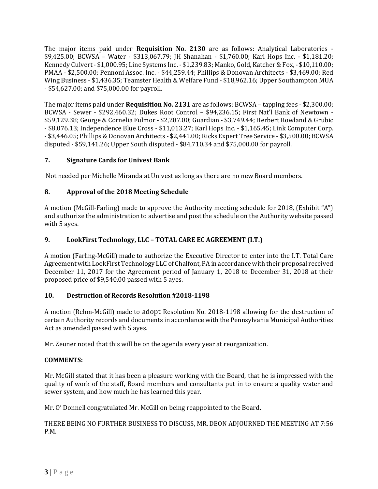The major items paid under **Requisition No. 2130** are as follows: Analytical Laboratories - \$9,425.00; BCWSA – Water - \$313,067.79; JH Shanahan - \$1,760.00; Karl Hops Inc. - \$1,181.20; Kennedy Culvert - \$1,000.95; Line Systems Inc. - \$1,239.83; Manko, Gold, Katcher & Fox, - \$10,110.00; PMAA - \$2,500.00; Pennoni Assoc. Inc. - \$44,259.44; Phillips & Donovan Architects - \$3,469.00; Red Wing Business - \$1,436.35; Teamster Health & Welfare Fund - \$18,962.16; Upper Southampton MUA - \$54,627.00; and \$75,000.00 for payroll.

The major items paid under **Requisition No. 2131** are as follows: BCWSA – tapping fees - \$2,300.00; BCWSA - Sewer - \$292,460.32; Dukes Root Control – \$94,236.15; First Nat'l Bank of Newtown - \$59,129.38; George & Cornelia Fulmor - \$2,287.00; Guardian - \$3,749.44; Herbert Rowland & Grubic - \$8,076.13; Independence Blue Cross - \$11,013.27; Karl Hops Inc. - \$1,165.45; Link Computer Corp. - \$3,446.05; Phillips & Donovan Architects - \$2,441.00; Ricks Expert Tree Service - \$3,500.00; BCWSA disputed - \$59,141.26; Upper South disputed - \$84,710.34 and \$75,000.00 for payroll.

## **7. Signature Cards for Univest Bank**

Not needed per Michelle Miranda at Univest as long as there are no new Board members.

## **8. Approval of the 2018 Meeting Schedule**

A motion (McGill-Farling) made to approve the Authority meeting schedule for 2018, (Exhibit "A") and authorize the administration to advertise and post the schedule on the Authority website passed with 5 ayes.

## **9. LookFirst Technology, LLC – TOTAL CARE EC AGREEMENT (I.T.)**

A motion (Farling-McGill) made to authorize the Executive Director to enter into the I.T. Total Care Agreement with LookFirst Technology LLC of Chalfont, PA in accordance with their proposal received December 11, 2017 for the Agreement period of January 1, 2018 to December 31, 2018 at their proposed price of \$9,540.00 passed with 5 ayes.

## **10. Destruction of Records Resolution #2018-1198**

A motion (Rehm-McGill) made to adopt Resolution No. 2018-1198 allowing for the destruction of certain Authority records and documents in accordance with the Pennsylvania Municipal Authorities Act as amended passed with 5 ayes.

Mr. Zeuner noted that this will be on the agenda every year at reorganization.

## **COMMENTS:**

Mr. McGill stated that it has been a pleasure working with the Board, that he is impressed with the quality of work of the staff, Board members and consultants put in to ensure a quality water and sewer system, and how much he has learned this year.

Mr. O' Donnell congratulated Mr. McGill on being reappointed to the Board.

THERE BEING NO FURTHER BUSINESS TO DISCUSS, MR. DEON ADJOURNED THE MEETING AT 7:56 P.M.